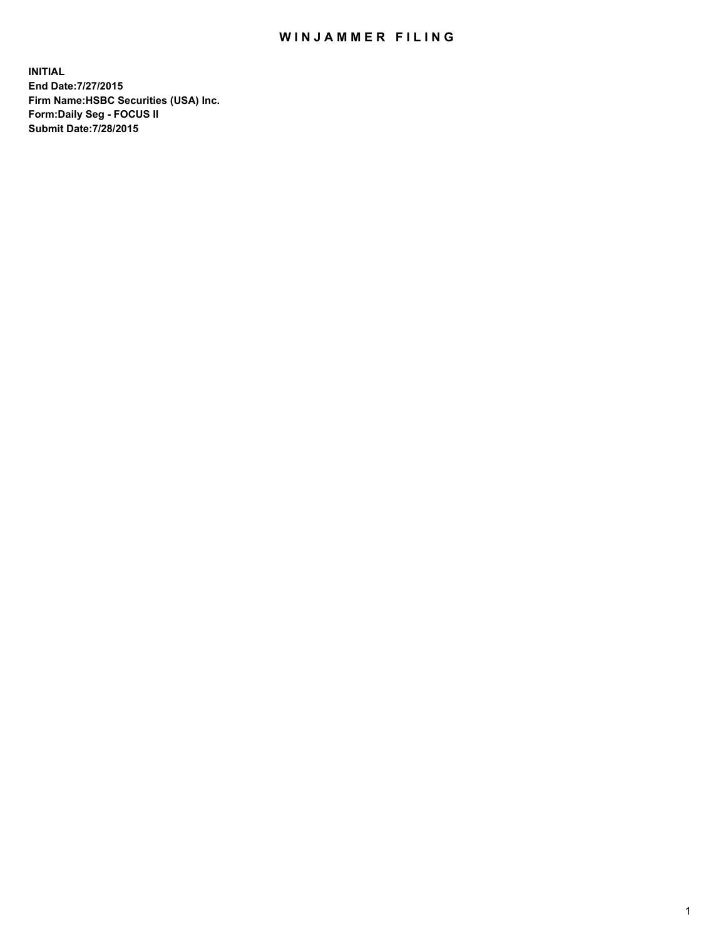## WIN JAMMER FILING

**INITIAL End Date:7/27/2015 Firm Name:HSBC Securities (USA) Inc. Form:Daily Seg - FOCUS II Submit Date:7/28/2015**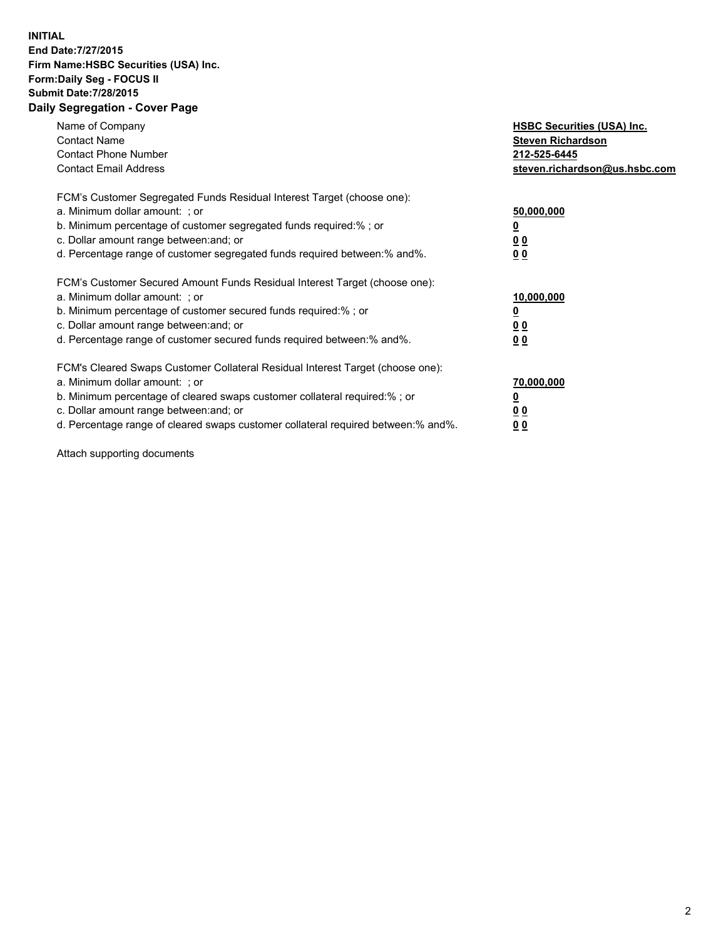## **INITIAL End Date:7/27/2015 Firm Name:HSBC Securities (USA) Inc. Form:Daily Seg - FOCUS II Submit Date:7/28/2015 Daily Segregation - Cover Page**

| Name of Company<br><b>Contact Name</b><br><b>Contact Phone Number</b><br><b>Contact Email Address</b>                                                                                                                                                                                                                         | <b>HSBC Securities (USA) Inc.</b><br><b>Steven Richardson</b><br>212-525-6445<br>steven.richardson@us.hsbc.com |
|-------------------------------------------------------------------------------------------------------------------------------------------------------------------------------------------------------------------------------------------------------------------------------------------------------------------------------|----------------------------------------------------------------------------------------------------------------|
| FCM's Customer Segregated Funds Residual Interest Target (choose one):<br>a. Minimum dollar amount: ; or<br>b. Minimum percentage of customer segregated funds required:%; or<br>c. Dollar amount range between: and; or<br>d. Percentage range of customer segregated funds required between:% and%.                         | 50,000,000<br>00<br>0 <sub>0</sub>                                                                             |
| FCM's Customer Secured Amount Funds Residual Interest Target (choose one):<br>a. Minimum dollar amount: ; or<br>b. Minimum percentage of customer secured funds required:%; or<br>c. Dollar amount range between: and; or<br>d. Percentage range of customer secured funds required between:% and%.                           | 10,000,000<br>0 <sub>0</sub><br>00                                                                             |
| FCM's Cleared Swaps Customer Collateral Residual Interest Target (choose one):<br>a. Minimum dollar amount: ; or<br>b. Minimum percentage of cleared swaps customer collateral required:%; or<br>c. Dollar amount range between: and; or<br>d. Percentage range of cleared swaps customer collateral required between:% and%. | 70,000,000<br><u>00</u><br><u>00</u>                                                                           |

Attach supporting documents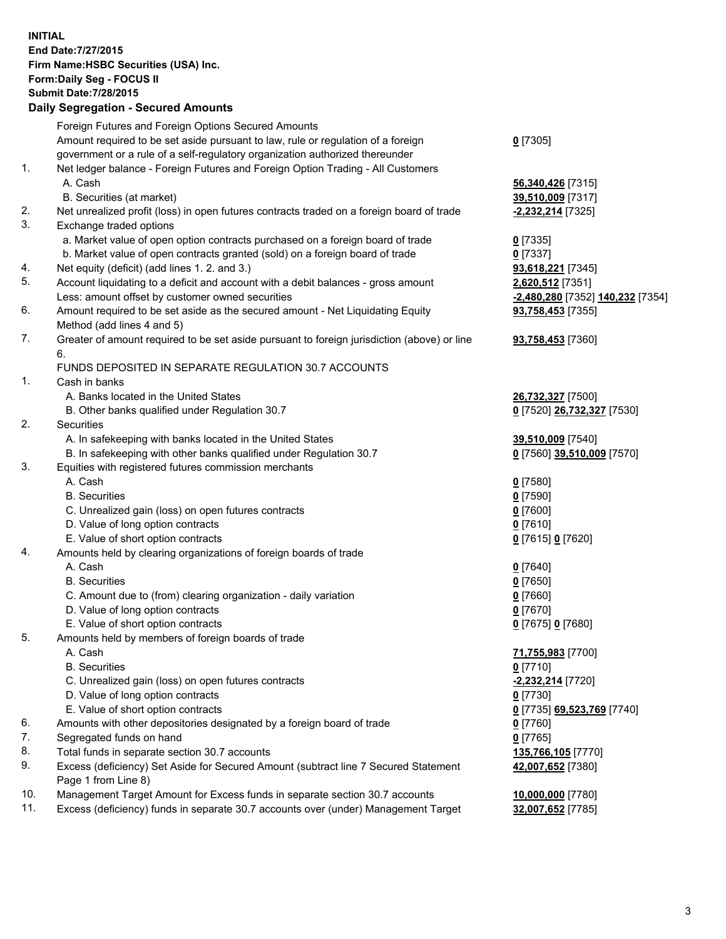**INITIAL End Date:7/27/2015 Firm Name:HSBC Securities (USA) Inc. Form:Daily Seg - FOCUS II Submit Date:7/28/2015 Daily Segregation - Secured Amounts** Foreign Futures and Foreign Options Secured Amounts Amount required to be set aside pursuant to law, rule or regulation of a foreign government or a rule of a self-regulatory organization authorized thereunder 1. Net ledger balance - Foreign Futures and Foreign Option Trading - All Customers A. Cash **56,340,426** [7315] B. Securities (at market) **39,510,009** [7317] 2. Net unrealized profit (loss) in open futures contracts traded on a foreign board of trade **-2,232,214** [7325] 3. Exchange traded options a. Market value of open option contracts purchased on a foreign board of trade **0** [7335] b. Market value of open contracts granted (sold) on a foreign board of trade **0** [7337] 4. Net equity (deficit) (add lines 1. 2. and 3.) **93,618,221** [7345] 5. Account liquidating to a deficit and account with a debit balances - gross amount **2,620,512** [7351]

- Less: amount offset by customer owned securities **-2,480,280** [7352] **140,232** [7354]
- 6. Amount required to be set aside as the secured amount Net Liquidating Equity Method (add lines 4 and 5)
- 7. Greater of amount required to be set aside pursuant to foreign jurisdiction (above) or line 6.

## FUNDS DEPOSITED IN SEPARATE REGULATION 30.7 ACCOUNTS

- 1. Cash in banks
	- A. Banks located in the United States **26,732,327** [7500]
	- B. Other banks qualified under Regulation 30.7 **0** [7520] **26,732,327** [7530]
- 2. Securities
	- A. In safekeeping with banks located in the United States **39,510,009** [7540]
	- B. In safekeeping with other banks qualified under Regulation 30.7 **0** [7560] **39,510,009** [7570]
- 3. Equities with registered futures commission merchants
	- A. Cash **0** [7580]
	- B. Securities **0** [7590]
	- C. Unrealized gain (loss) on open futures contracts **0** [7600]
	- D. Value of long option contracts **0** [7610]
	- E. Value of short option contracts **0** [7615] **0** [7620]
- 4. Amounts held by clearing organizations of foreign boards of trade
	-
	-
	- C. Amount due to (from) clearing organization daily variation **0** [7660]
	- D. Value of long option contracts **0** [7670]
	- E. Value of short option contracts **0** [7675] **0** [7680]
- 5. Amounts held by members of foreign boards of trade
	-
	-
	- C. Unrealized gain (loss) on open futures contracts **-2,232,214** [7720]
	- D. Value of long option contracts **0** [7730]
	- E. Value of short option contracts **0** [7735] **69,523,769** [7740]
- 6. Amounts with other depositories designated by a foreign board of trade **0** [7760]
- 7. Segregated funds on hand **0** [7765]
- 8. Total funds in separate section 30.7 accounts **135,766,105** [7770]
- 9. Excess (deficiency) Set Aside for Secured Amount (subtract line 7 Secured Statement Page 1 from Line 8)
- 10. Management Target Amount for Excess funds in separate section 30.7 accounts **10,000,000** [7780]
- 11. Excess (deficiency) funds in separate 30.7 accounts over (under) Management Target **32,007,652** [7785]
- 
- A. Cash **0** [7640] B. Securities **0** [7650]
	-

**0** [7305]

**93,758,453** [7355]

**93,758,453** [7360]

- A. Cash **71,755,983** [7700] B. Securities **0** [7710] **42,007,652** [7380]
	-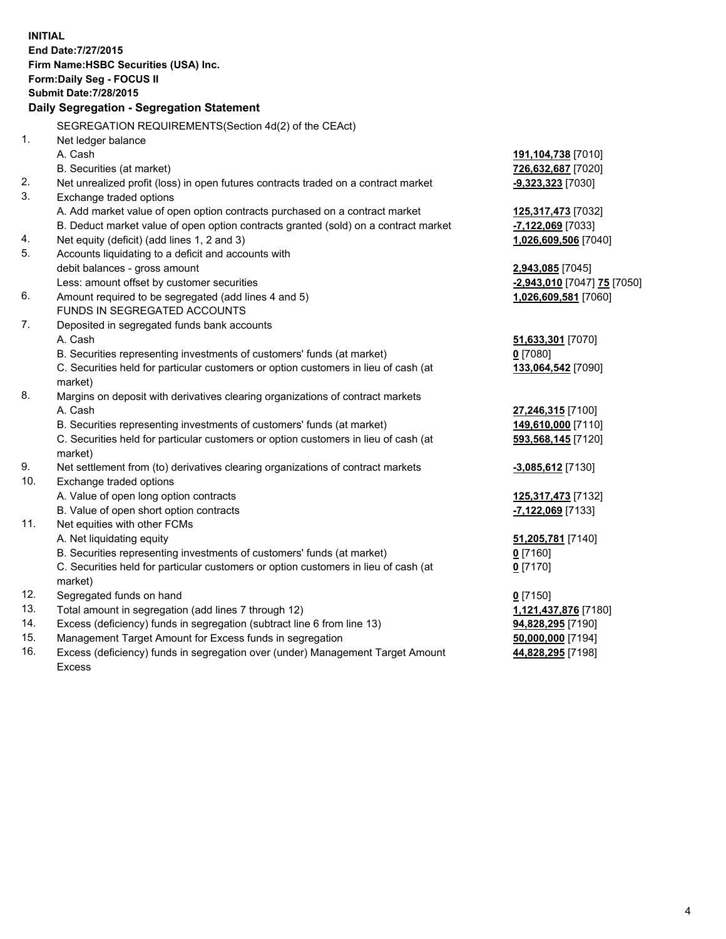| <b>INITIAL</b> | End Date: 7/27/2015<br>Firm Name: HSBC Securities (USA) Inc.<br>Form: Daily Seg - FOCUS II<br><b>Submit Date: 7/28/2015</b><br>Daily Segregation - Segregation Statement |                             |
|----------------|--------------------------------------------------------------------------------------------------------------------------------------------------------------------------|-----------------------------|
|                |                                                                                                                                                                          |                             |
| 1.             | SEGREGATION REQUIREMENTS(Section 4d(2) of the CEAct)                                                                                                                     |                             |
|                | Net ledger balance<br>A. Cash                                                                                                                                            |                             |
|                | B. Securities (at market)                                                                                                                                                | 191, 104, 738 [7010]        |
| 2.             | Net unrealized profit (loss) in open futures contracts traded on a contract market                                                                                       | 726,632,687 [7020]          |
| 3.             | Exchange traded options                                                                                                                                                  | $-9,323,323$ [7030]         |
|                | A. Add market value of open option contracts purchased on a contract market                                                                                              | <u>125,317,473</u> [7032]   |
|                | B. Deduct market value of open option contracts granted (sold) on a contract market                                                                                      | -7,122,069 [7033]           |
| 4.             | Net equity (deficit) (add lines 1, 2 and 3)                                                                                                                              | 1,026,609,506 [7040]        |
| 5.             | Accounts liquidating to a deficit and accounts with                                                                                                                      |                             |
|                | debit balances - gross amount                                                                                                                                            | 2,943,085 [7045]            |
|                | Less: amount offset by customer securities                                                                                                                               | -2,943,010 [7047] 75 [7050] |
| 6.             | Amount required to be segregated (add lines 4 and 5)                                                                                                                     | 1,026,609,581 [7060]        |
|                | FUNDS IN SEGREGATED ACCOUNTS                                                                                                                                             |                             |
| 7.             | Deposited in segregated funds bank accounts                                                                                                                              |                             |
|                | A. Cash                                                                                                                                                                  | 51,633,301 [7070]           |
|                | B. Securities representing investments of customers' funds (at market)                                                                                                   | $0$ [7080]                  |
|                | C. Securities held for particular customers or option customers in lieu of cash (at                                                                                      | 133,064,542 [7090]          |
|                | market)                                                                                                                                                                  |                             |
| 8.             | Margins on deposit with derivatives clearing organizations of contract markets                                                                                           |                             |
|                | A. Cash                                                                                                                                                                  | 27,246,315 [7100]           |
|                | B. Securities representing investments of customers' funds (at market)                                                                                                   | 149,610,000 [7110]          |
|                | C. Securities held for particular customers or option customers in lieu of cash (at                                                                                      | 593,568,145 [7120]          |
|                | market)                                                                                                                                                                  |                             |
| 9.             | Net settlement from (to) derivatives clearing organizations of contract markets                                                                                          | $-3,085,612$ [7130]         |
| 10.            | Exchange traded options                                                                                                                                                  |                             |
|                | A. Value of open long option contracts                                                                                                                                   | 125,317,473 [7132]          |
|                | B. Value of open short option contracts                                                                                                                                  | $-7,122,069$ [7133]         |
| 11.            | Net equities with other FCMs                                                                                                                                             |                             |
|                | A. Net liquidating equity                                                                                                                                                | 51,205,781 [7140]           |
|                | B. Securities representing investments of customers' funds (at market)                                                                                                   | $Q$ [7160]                  |
|                | C. Securities held for particular customers or option customers in lieu of cash (at<br>market)                                                                           | $0$ [7170]                  |
| 12.            | Segregated funds on hand                                                                                                                                                 | $0$ [7150]                  |
| 13.            | Total amount in segregation (add lines 7 through 12)                                                                                                                     | 1,121,437,876 [7180]        |
| 14.            | Excess (deficiency) funds in segregation (subtract line 6 from line 13)                                                                                                  | 94,828,295 [7190]           |
| 15.            | Management Target Amount for Excess funds in segregation                                                                                                                 | 50,000,000 [7194]           |
| 16.            | Excess (deficiency) funds in segregation over (under) Management Target Amount                                                                                           | 44,828,295 [7198]           |

16. Excess (deficiency) funds in segregation over (under) Management Target Amount Excess